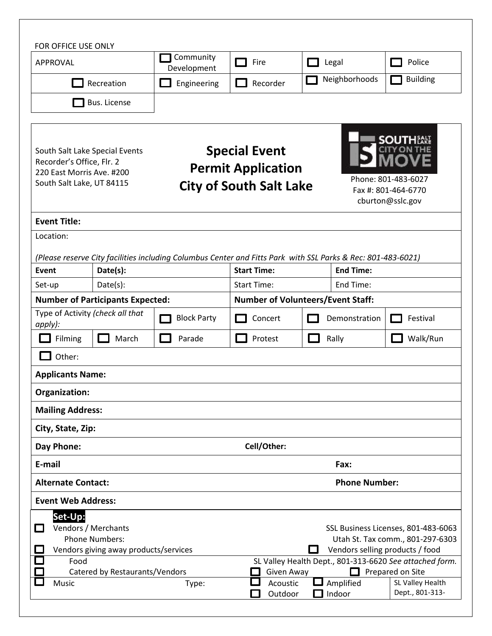| FOR OFFICE USE ONLY                                                                                                                                         |              |                          |                                                                                                                                                                                                         |  |                                                                |                                     |  |  |
|-------------------------------------------------------------------------------------------------------------------------------------------------------------|--------------|--------------------------|---------------------------------------------------------------------------------------------------------------------------------------------------------------------------------------------------------|--|----------------------------------------------------------------|-------------------------------------|--|--|
| APPROVAL                                                                                                                                                    |              | Community<br>Development | Fire                                                                                                                                                                                                    |  | Legal                                                          | Police                              |  |  |
| Recreation                                                                                                                                                  |              | Engineering              | Recorder                                                                                                                                                                                                |  | Neighborhoods                                                  | <b>Building</b>                     |  |  |
|                                                                                                                                                             | Bus. License |                          |                                                                                                                                                                                                         |  |                                                                |                                     |  |  |
|                                                                                                                                                             |              |                          |                                                                                                                                                                                                         |  |                                                                |                                     |  |  |
| South Salt Lake Special Events<br>Recorder's Office, Flr. 2<br>220 East Morris Ave. #200<br>South Salt Lake, UT 84115                                       |              |                          | <b>Special Event</b><br><b>Permit Application</b><br><b>City of South Salt Lake</b>                                                                                                                     |  | Phone: 801-483-6027<br>Fax #: 801-464-6770<br>cburton@sslc.gov |                                     |  |  |
| <b>Event Title:</b>                                                                                                                                         |              |                          |                                                                                                                                                                                                         |  |                                                                |                                     |  |  |
| Location:                                                                                                                                                   |              |                          |                                                                                                                                                                                                         |  |                                                                |                                     |  |  |
| (Please reserve City facilities including Columbus Center and Fitts Park with SSL Parks & Rec: 801-483-6021)                                                |              |                          |                                                                                                                                                                                                         |  |                                                                |                                     |  |  |
| Event                                                                                                                                                       | Date(s):     |                          | <b>End Time:</b><br><b>Start Time:</b>                                                                                                                                                                  |  |                                                                |                                     |  |  |
| Set-up                                                                                                                                                      | Date(s):     |                          | <b>Start Time:</b><br>End Time:                                                                                                                                                                         |  |                                                                |                                     |  |  |
| <b>Number of Participants Expected:</b>                                                                                                                     |              |                          | <b>Number of Volunteers/Event Staff:</b>                                                                                                                                                                |  |                                                                |                                     |  |  |
| Type of Activity (check all that<br>apply):                                                                                                                 |              | <b>Block Party</b>       | Concert                                                                                                                                                                                                 |  | Demonstration                                                  | Festival                            |  |  |
| Filming                                                                                                                                                     | March        | Parade                   | Protest                                                                                                                                                                                                 |  | Rally                                                          | Walk/Run                            |  |  |
| Other:                                                                                                                                                      |              |                          |                                                                                                                                                                                                         |  |                                                                |                                     |  |  |
| <b>Applicants Name:</b>                                                                                                                                     |              |                          |                                                                                                                                                                                                         |  |                                                                |                                     |  |  |
| Organization:                                                                                                                                               |              |                          |                                                                                                                                                                                                         |  |                                                                |                                     |  |  |
| <b>Mailing Address:</b>                                                                                                                                     |              |                          |                                                                                                                                                                                                         |  |                                                                |                                     |  |  |
| City, State, Zip:                                                                                                                                           |              |                          |                                                                                                                                                                                                         |  |                                                                |                                     |  |  |
| Cell/Other:<br>Day Phone:                                                                                                                                   |              |                          |                                                                                                                                                                                                         |  |                                                                |                                     |  |  |
| E-mail                                                                                                                                                      |              |                          | Fax:                                                                                                                                                                                                    |  |                                                                |                                     |  |  |
| <b>Alternate Contact:</b>                                                                                                                                   |              |                          | <b>Phone Number:</b>                                                                                                                                                                                    |  |                                                                |                                     |  |  |
| <b>Event Web Address:</b>                                                                                                                                   |              |                          |                                                                                                                                                                                                         |  |                                                                |                                     |  |  |
| Set-Up:<br>Vendors / Merchants<br>$\mathcal{L}$<br><b>Phone Numbers:</b><br>Vendors giving away products/services<br>Food<br>Catered by Restaurants/Vendors |              |                          | SSL Business Licenses, 801-483-6063<br>Utah St. Tax comm., 801-297-6303<br>Vendors selling products / food<br>SL Valley Health Dept., 801-313-6620 See attached form.<br>Given Away<br>Prepared on Site |  |                                                                |                                     |  |  |
| Music                                                                                                                                                       |              | Type:                    | Acoustic<br>Outdoor                                                                                                                                                                                     |  | Amplified<br>Indoor                                            | SL Valley Health<br>Dept., 801-313- |  |  |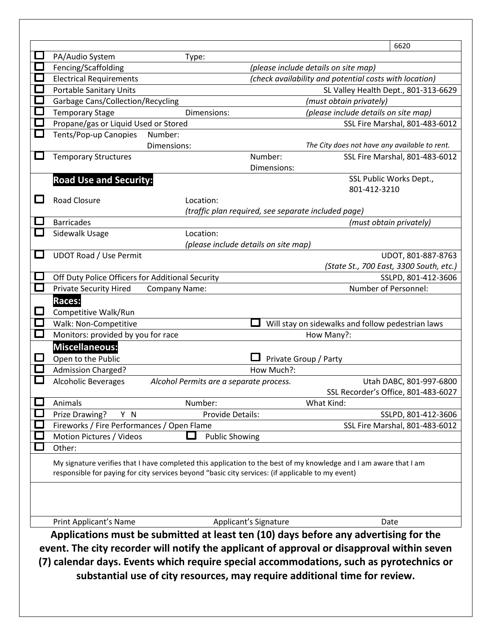|        |                                                                                            |                                                                                                   |                                      | 6620                                                                                                              |  |  |  |  |
|--------|--------------------------------------------------------------------------------------------|---------------------------------------------------------------------------------------------------|--------------------------------------|-------------------------------------------------------------------------------------------------------------------|--|--|--|--|
|        | PA/Audio System                                                                            | Type:                                                                                             |                                      |                                                                                                                   |  |  |  |  |
|        | Fencing/Scaffolding                                                                        |                                                                                                   |                                      | (please include details on site map)                                                                              |  |  |  |  |
|        | <b>Electrical Requirements</b>                                                             |                                                                                                   |                                      | (check availability and potential costs with location)                                                            |  |  |  |  |
|        | <b>Portable Sanitary Units</b>                                                             |                                                                                                   |                                      | SL Valley Health Dept., 801-313-6629                                                                              |  |  |  |  |
|        | Garbage Cans/Collection/Recycling                                                          |                                                                                                   |                                      | (must obtain privately)                                                                                           |  |  |  |  |
|        | <b>Temporary Stage</b>                                                                     | Dimensions:                                                                                       |                                      | (please include details on site map)                                                                              |  |  |  |  |
|        | Propane/gas or Liquid Used or Stored                                                       |                                                                                                   |                                      | SSL Fire Marshal, 801-483-6012                                                                                    |  |  |  |  |
|        | Tents/Pop-up Canopies                                                                      | Number:                                                                                           |                                      |                                                                                                                   |  |  |  |  |
|        |                                                                                            | Dimensions:                                                                                       |                                      | The City does not have any available to rent.                                                                     |  |  |  |  |
|        | <b>Temporary Structures</b>                                                                |                                                                                                   | Number:                              | SSL Fire Marshal, 801-483-6012                                                                                    |  |  |  |  |
|        |                                                                                            |                                                                                                   | Dimensions:                          |                                                                                                                   |  |  |  |  |
|        | <b>Road Use and Security:</b>                                                              |                                                                                                   |                                      | SSL Public Works Dept.,                                                                                           |  |  |  |  |
|        |                                                                                            |                                                                                                   |                                      | 801-412-3210                                                                                                      |  |  |  |  |
| $\sim$ | <b>Road Closure</b>                                                                        | Location:                                                                                         |                                      |                                                                                                                   |  |  |  |  |
|        |                                                                                            |                                                                                                   |                                      | (traffic plan required, see separate included page)                                                               |  |  |  |  |
|        | <b>Barricades</b>                                                                          |                                                                                                   |                                      | (must obtain privately)                                                                                           |  |  |  |  |
|        | Sidewalk Usage                                                                             | Location:                                                                                         |                                      |                                                                                                                   |  |  |  |  |
|        |                                                                                            |                                                                                                   | (please include details on site map) |                                                                                                                   |  |  |  |  |
|        | <b>UDOT Road / Use Permit</b>                                                              |                                                                                                   |                                      | UDOT, 801-887-8763                                                                                                |  |  |  |  |
|        |                                                                                            |                                                                                                   |                                      | (State St., 700 East, 3300 South, etc.)                                                                           |  |  |  |  |
|        | Off Duty Police Officers for Additional Security                                           |                                                                                                   |                                      | SSLPD, 801-412-3606<br>Number of Personnel:                                                                       |  |  |  |  |
|        | <b>Private Security Hired</b>                                                              | Company Name:                                                                                     |                                      |                                                                                                                   |  |  |  |  |
|        | Races:                                                                                     |                                                                                                   |                                      |                                                                                                                   |  |  |  |  |
|        | Competitive Walk/Run                                                                       |                                                                                                   |                                      |                                                                                                                   |  |  |  |  |
|        | Walk: Non-Competitive                                                                      | Will stay on sidewalks and follow pedestrian laws                                                 |                                      |                                                                                                                   |  |  |  |  |
|        | Monitors: provided by you for race                                                         |                                                                                                   |                                      | How Many?:                                                                                                        |  |  |  |  |
|        | <b>Miscellaneous:</b><br>Open to the Public                                                |                                                                                                   |                                      |                                                                                                                   |  |  |  |  |
|        |                                                                                            |                                                                                                   |                                      | Private Group / Party                                                                                             |  |  |  |  |
|        | <b>Admission Charged?</b>                                                                  |                                                                                                   | How Much?:                           |                                                                                                                   |  |  |  |  |
|        | <b>Alcoholic Beverages</b>                                                                 | Alcohol Permits are a separate process.                                                           |                                      | Utah DABC, 801-997-6800<br>SSL Recorder's Office, 801-483-6027                                                    |  |  |  |  |
|        | Animals                                                                                    | Number:                                                                                           |                                      | What Kind:                                                                                                        |  |  |  |  |
|        | Prize Drawing?<br>Y N                                                                      | Provide Details:                                                                                  |                                      | SSLPD, 801-412-3606                                                                                               |  |  |  |  |
|        | Fireworks / Fire Performances / Open Flame                                                 |                                                                                                   |                                      | SSL Fire Marshal, 801-483-6012                                                                                    |  |  |  |  |
|        | Motion Pictures / Videos                                                                   | <b>Public Showing</b>                                                                             |                                      |                                                                                                                   |  |  |  |  |
|        | Other:                                                                                     |                                                                                                   |                                      |                                                                                                                   |  |  |  |  |
|        |                                                                                            |                                                                                                   |                                      |                                                                                                                   |  |  |  |  |
|        |                                                                                            | responsible for paying for city services beyond "basic city services: (if applicable to my event) |                                      | My signature verifies that I have completed this application to the best of my knowledge and I am aware that I am |  |  |  |  |
|        |                                                                                            |                                                                                                   |                                      |                                                                                                                   |  |  |  |  |
|        |                                                                                            |                                                                                                   |                                      |                                                                                                                   |  |  |  |  |
|        |                                                                                            |                                                                                                   |                                      |                                                                                                                   |  |  |  |  |
|        |                                                                                            |                                                                                                   |                                      |                                                                                                                   |  |  |  |  |
|        | Print Applicant's Name                                                                     |                                                                                                   | Applicant's Signature                | Date                                                                                                              |  |  |  |  |
|        | Applications must be submitted at least ten (10) days before any advertising for the       |                                                                                                   |                                      |                                                                                                                   |  |  |  |  |
|        | event. The city recorder will notify the applicant of approval or disapproval within seven |                                                                                                   |                                      |                                                                                                                   |  |  |  |  |
|        | (7) calendar days. Events which require special accommodations, such as pyrotechnics or    |                                                                                                   |                                      |                                                                                                                   |  |  |  |  |
|        |                                                                                            |                                                                                                   |                                      | substantial use of city resources, may require additional time for review.                                        |  |  |  |  |
|        |                                                                                            |                                                                                                   |                                      |                                                                                                                   |  |  |  |  |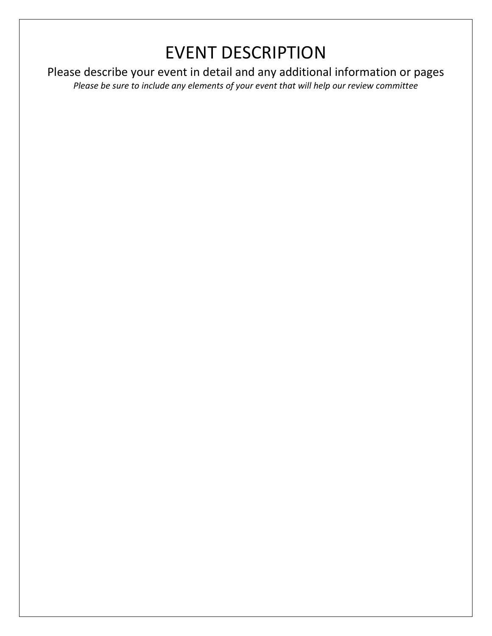## EVENT DESCRIPTION

Please describe your event in detail and any additional information or pages

*Please be sure to include any elements of your event that will help our review committee*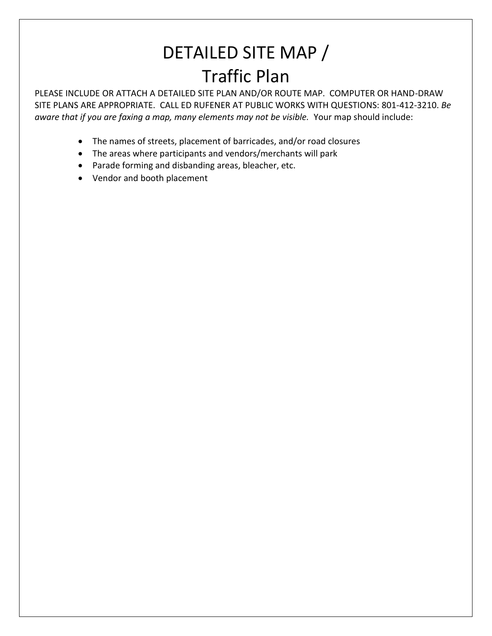## DETAILED SITE MAP / Traffic Plan

PLEASE INCLUDE OR ATTACH A DETAILED SITE PLAN AND/OR ROUTE MAP. COMPUTER OR HAND-DRAW SITE PLANS ARE APPROPRIATE. CALL ED RUFENER AT PUBLIC WORKS WITH QUESTIONS: 801-412-3210. *Be aware that if you are faxing a map, many elements may not be visible.* Your map should include:

- The names of streets, placement of barricades, and/or road closures
- The areas where participants and vendors/merchants will park
- Parade forming and disbanding areas, bleacher, etc.
- Vendor and booth placement